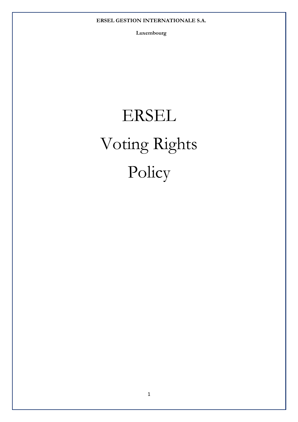**Luxembourg** 

# ERSEL Voting Rights Policy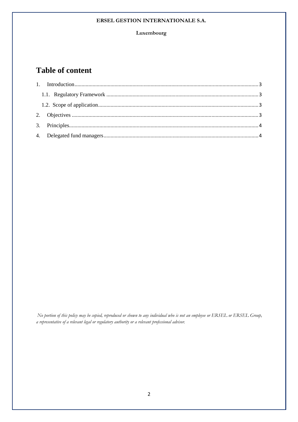#### **Luxembourg**

# **Table of content**

 *No portion of this policy may be copied, reproduced or shown to any individual who is not an employee or ERSEL or ERSEL Group, a representative of a relevant legal or regulatory authority or a relevant professional advisor.*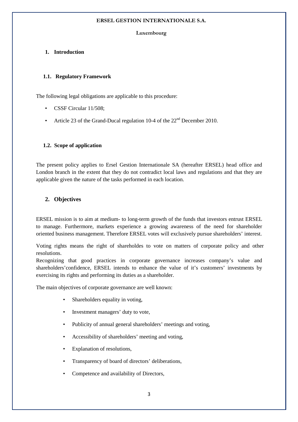#### **Luxembourg**

# **1. Introduction**

# **1.1. Regulatory Framework**

The following legal obligations are applicable to this procedure:

- CSSF Circular 11/508;
- Article 23 of the Grand-Ducal regulation 10-4 of the  $22<sup>nd</sup>$  December 2010.

# **1.2. Scope of application**

The present policy applies to Ersel Gestion Internationale SA (hereafter ERSEL) head office and London branch in the extent that they do not contradict local laws and regulations and that they are applicable given the nature of the tasks performed in each location.

# **2. Objectives**

ERSEL mission is to aim at medium- to long-term growth of the funds that investors entrust ERSEL to manage. Furthermore, markets experience a growing awareness of the need for shareholder oriented business management. Therefore ERSEL votes will exclusively pursue shareholders' interest.

Voting rights means the right of shareholdes to vote on matters of corporate policy and other resolutions.

Recognizing that good practices in corporate governance increases company's value and shareholders'confidence, ERSEL intends to enhance the value of it's customers' investments by exercising its rights and performing its duties as a shareholder.

The main objectives of corporate governance are well known:

- Shareholders equality in voting.
- Investment managers' duty to vote,
- Publicity of annual general shareholders' meetings and voting,
- Accessibility of shareholders' meeting and voting,
- Explanation of resolutions.
- Transparency of board of directors' deliberations,
- Competence and availability of Directors,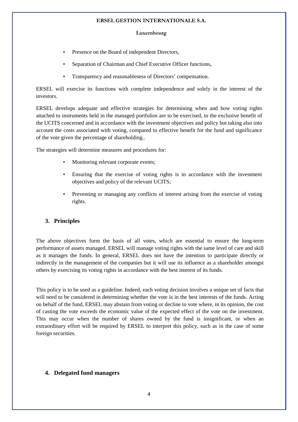#### **Luxembourg**

- Presence on the Board of independent Directors,
- Separation of Chairman and Chief Executive Officer functions,
- Transparency and reasonableness of Directors' compensation.

ERSEL will exercise its functions with complete independence and solely in the interest of the investors.

ERSEL develops adequate and effective strategies for determining when and how voting rights attached to instruments held in the managed portfolios are to be exercised, to the exclusive benefit of the UCITS concerned and in accordance with the investment objectives and policy but taking also into account the costs associated with voting, compared to effective benefit for the fund and significance of the vote given the percentage of shareholding..

The strategies will determine measures and procedures for:

- Monitoring relevant corporate events:
- Ensuring that the exercise of voting rights is in accordance with the investment objectives and policy of the relevant UCITS;
- Preventing or managing any conflicts of interest arising from the exercise of voting rights.

### **3. Principles**

The above objectives form the basis of all votes, which are essential to ensure the long-term performance of assets managed. ERSEL will manage voting rights with the same level of care and skill as it manages the funds. In general, ERSEL does not have the intention to participate directly or indirectly in the management of the companies but it will use its influence as a shareholder amongst others by exercising its voting rights in accordance with the best interest of its funds.

This policy is to be used as a guideline. Indeed, each voting decision involves a unique set of facts that will need to be considered in determining whether the vote is in the best interests of the funds. Acting on behalf of the fund, ERSEL may abstain from voting or decline to vote where, in its opinion, the cost of casting the vote exceeds the economic value of the expected effect of the vote on the investment. This may occur when the number of shares owned by the fund is insignificant, or when an extraordinary effort will be required by ERSEL to interpret this policy, such as in the case of some foreign securities.

# **4. Delegated fund managers**